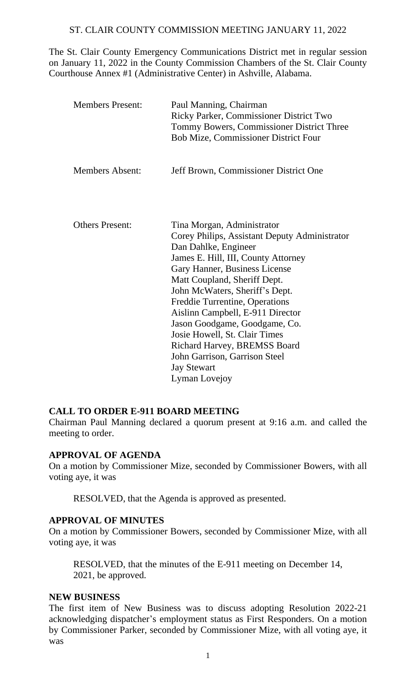## ST. CLAIR COUNTY COMMISSION MEETING JANUARY 11, 2022

The St. Clair County Emergency Communications District met in regular session on January 11, 2022 in the County Commission Chambers of the St. Clair County Courthouse Annex #1 (Administrative Center) in Ashville, Alabama.

| <b>Members Present:</b> | Paul Manning, Chairman<br>Ricky Parker, Commissioner District Two<br>Tommy Bowers, Commissioner District Three<br><b>Bob Mize, Commissioner District Four</b>                                                                                                                                                                                                                                                                                                                                 |
|-------------------------|-----------------------------------------------------------------------------------------------------------------------------------------------------------------------------------------------------------------------------------------------------------------------------------------------------------------------------------------------------------------------------------------------------------------------------------------------------------------------------------------------|
| <b>Members Absent:</b>  | Jeff Brown, Commissioner District One                                                                                                                                                                                                                                                                                                                                                                                                                                                         |
| <b>Others Present:</b>  | Tina Morgan, Administrator<br>Corey Philips, Assistant Deputy Administrator<br>Dan Dahlke, Engineer<br>James E. Hill, III, County Attorney<br>Gary Hanner, Business License<br>Matt Coupland, Sheriff Dept.<br>John McWaters, Sheriff's Dept.<br>Freddie Turrentine, Operations<br>Aislinn Campbell, E-911 Director<br>Jason Goodgame, Goodgame, Co.<br>Josie Howell, St. Clair Times<br>Richard Harvey, BREMSS Board<br>John Garrison, Garrison Steel<br><b>Jay Stewart</b><br>Lyman Lovejoy |

#### **CALL TO ORDER E-911 BOARD MEETING**

Chairman Paul Manning declared a quorum present at 9:16 a.m. and called the meeting to order.

#### **APPROVAL OF AGENDA**

On a motion by Commissioner Mize, seconded by Commissioner Bowers, with all voting aye, it was

RESOLVED, that the Agenda is approved as presented.

#### **APPROVAL OF MINUTES**

On a motion by Commissioner Bowers, seconded by Commissioner Mize, with all voting aye, it was

RESOLVED, that the minutes of the E-911 meeting on December 14, 2021, be approved.

#### **NEW BUSINESS**

The first item of New Business was to discuss adopting Resolution 2022-21 acknowledging dispatcher's employment status as First Responders. On a motion by Commissioner Parker, seconded by Commissioner Mize, with all voting aye, it was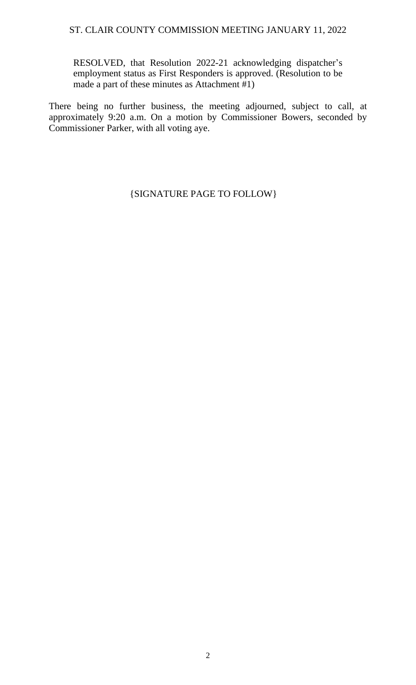### ST. CLAIR COUNTY COMMISSION MEETING JANUARY 11, 2022

RESOLVED, that Resolution 2022-21 acknowledging dispatcher's employment status as First Responders is approved. (Resolution to be made a part of these minutes as Attachment #1)

There being no further business, the meeting adjourned, subject to call, at approximately 9:20 a.m. On a motion by Commissioner Bowers, seconded by Commissioner Parker, with all voting aye.

{SIGNATURE PAGE TO FOLLOW}